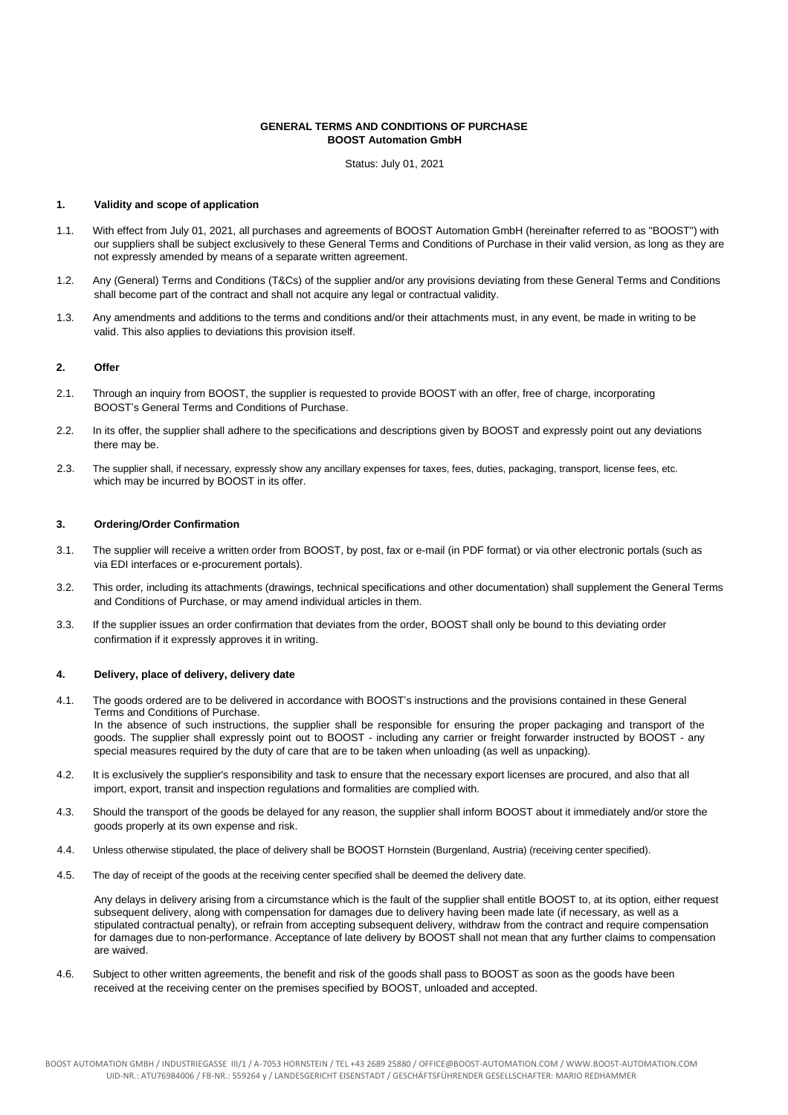## **GENERAL TERMS AND CONDITIONS OF PURCHASE BOOST Automation GmbH**

Status: July 01, 2021

### **1. Validity and scope of application**

- 1.1. With effect from July 01, 2021, all purchases and agreements of BOOST Automation GmbH (hereinafter referred to as "BOOST") with our suppliers shall be subject exclusively to these General Terms and Conditions of Purchase in their valid version, as long as they are not expressly amended by means of a separate written agreement.
- 1.2. Any (General) Terms and Conditions (T&Cs) of the supplier and/or any provisions deviating from these General Terms and Conditions shall become part of the contract and shall not acquire any legal or contractual validity.
- 1.3. Any amendments and additions to the terms and conditions and/or their attachments must, in any event, be made in writing to be valid. This also applies to deviations this provision itself.

## **2. Offer**

- 2.1. Through an inquiry from BOOST, the supplier is requested to provide BOOST with an offer, free of charge, incorporating BOOST's General Terms and Conditions of Purchase.
- 2.2. In its offer, the supplier shall adhere to the specifications and descriptions given by BOOST and expressly point out any deviations there may be.
- 2.3. The supplier shall, if necessary, expressly show any ancillary expenses for taxes, fees, duties, packaging, transport, license fees, etc. which may be incurred by BOOST in its offer.

### **3. Ordering/Order Confirmation**

- 3.1. The supplier will receive a written order from BOOST, by post, fax or e-mail (in PDF format) or via other electronic portals (such as via EDI interfaces or e-procurement portals).
- 3.2. This order, including its attachments (drawings, technical specifications and other documentation) shall supplement the General Terms and Conditions of Purchase, or may amend individual articles in them.
- 3.3. If the supplier issues an order confirmation that deviates from the order, BOOST shall only be bound to this deviating order confirmation if it expressly approves it in writing.

### **4. Delivery, place of delivery, delivery date**

- 4.1. The goods ordered are to be delivered in accordance with BOOST's instructions and the provisions contained in these General Terms and Conditions of Purchase. In the absence of such instructions, the supplier shall be responsible for ensuring the proper packaging and transport of the goods. The supplier shall expressly point out to BOOST - including any carrier or freight forwarder instructed by BOOST - any special measures required by the duty of care that are to be taken when unloading (as well as unpacking).
- 4.2. It is exclusively the supplier's responsibility and task to ensure that the necessary export licenses are procured, and also that all import, export, transit and inspection regulations and formalities are complied with.
- 4.3. Should the transport of the goods be delayed for any reason, the supplier shall inform BOOST about it immediately and/or store the goods properly at its own expense and risk.
- 4.4. Unless otherwise stipulated, the place of delivery shall be BOOST Hornstein (Burgenland, Austria) (receiving center specified).
- 4.5. The day of receipt of the goods at the receiving center specified shall be deemed the delivery date.

Any delays in delivery arising from a circumstance which is the fault of the supplier shall entitle BOOST to, at its option, either request subsequent delivery, along with compensation for damages due to delivery having been made late (if necessary, as well as a stipulated contractual penalty), or refrain from accepting subsequent delivery, withdraw from the contract and require compensation for damages due to non-performance. Acceptance of late delivery by BOOST shall not mean that any further claims to compensation are waived.

4.6. Subject to other written agreements, the benefit and risk of the goods shall pass to BOOST as soon as the goods have been received at the receiving center on the premises specified by BOOST, unloaded and accepted.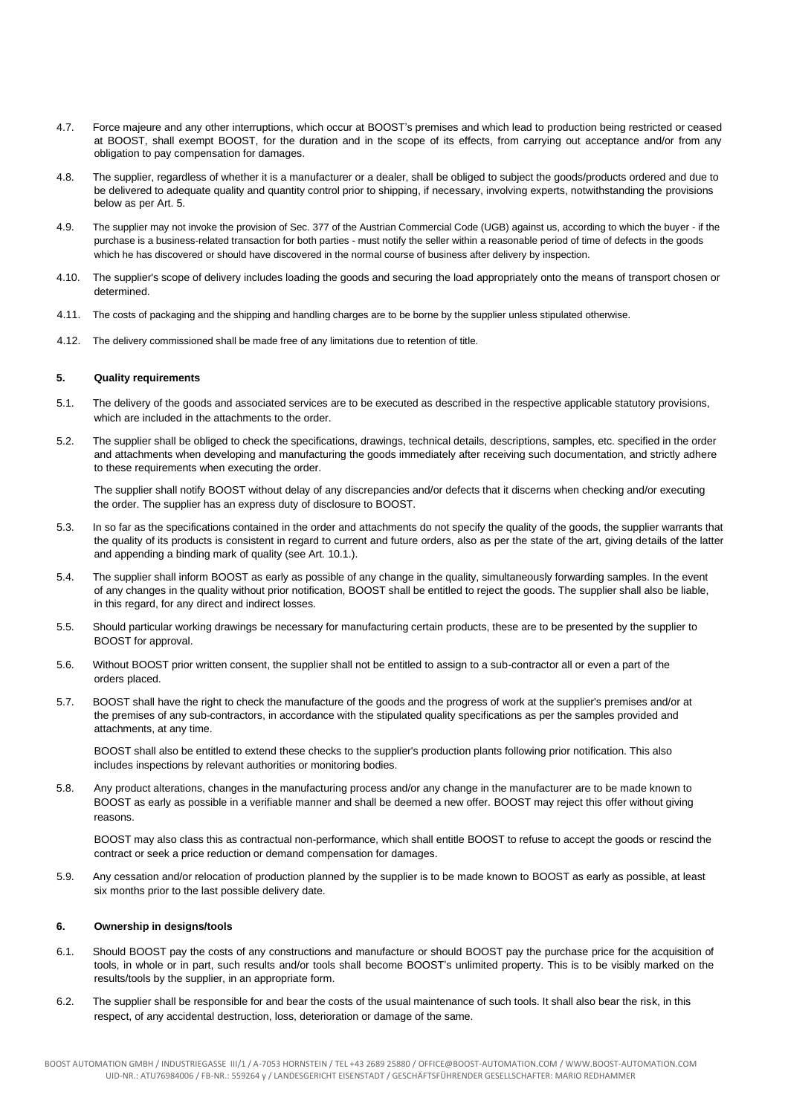- 4.7. Force majeure and any other interruptions, which occur at BOOST's premises and which lead to production being restricted or ceased at BOOST, shall exempt BOOST, for the duration and in the scope of its effects, from carrying out acceptance and/or from any obligation to pay compensation for damages.
- 4.8. The supplier, regardless of whether it is a manufacturer or a dealer, shall be obliged to subject the goods/products ordered and due to be delivered to adequate quality and quantity control prior to shipping, if necessary, involving experts, notwithstanding the provisions below as per Art. 5.
- 4.9. The supplier may not invoke the provision of Sec. 377 of the Austrian Commercial Code (UGB) against us, according to which the buyer if the purchase is a business-related transaction for both parties - must notify the seller within a reasonable period of time of defects in the goods which he has discovered or should have discovered in the normal course of business after delivery by inspection.
- 4.10. The supplier's scope of delivery includes loading the goods and securing the load appropriately onto the means of transport chosen or determined.
- 4.11. The costs of packaging and the shipping and handling charges are to be borne by the supplier unless stipulated otherwise.
- 4.12. The delivery commissioned shall be made free of any limitations due to retention of title.

## **5. Quality requirements**

- 5.1. The delivery of the goods and associated services are to be executed as described in the respective applicable statutory provisions, which are included in the attachments to the order.
- 5.2. The supplier shall be obliged to check the specifications, drawings, technical details, descriptions, samples, etc. specified in the order and attachments when developing and manufacturing the goods immediately after receiving such documentation, and strictly adhere to these requirements when executing the order.

The supplier shall notify BOOST without delay of any discrepancies and/or defects that it discerns when checking and/or executing the order. The supplier has an express duty of disclosure to BOOST.

- 5.3. In so far as the specifications contained in the order and attachments do not specify the quality of the goods, the supplier warrants that the quality of its products is consistent in regard to current and future orders, also as per the state of the art, giving details of the latter and appending a binding mark of quality (see Art. 10.1.).
- 5.4. The supplier shall inform BOOST as early as possible of any change in the quality, simultaneously forwarding samples. In the event of any changes in the quality without prior notification, BOOST shall be entitled to reject the goods. The supplier shall also be liable, in this regard, for any direct and indirect losses.
- 5.5. Should particular working drawings be necessary for manufacturing certain products, these are to be presented by the supplier to BOOST for approval.
- 5.6. Without BOOST prior written consent, the supplier shall not be entitled to assign to a sub-contractor all or even a part of the orders placed.
- 5.7. BOOST shall have the right to check the manufacture of the goods and the progress of work at the supplier's premises and/or at the premises of any sub-contractors, in accordance with the stipulated quality specifications as per the samples provided and attachments, at any time.

BOOST shall also be entitled to extend these checks to the supplier's production plants following prior notification. This also includes inspections by relevant authorities or monitoring bodies.

5.8. Any product alterations, changes in the manufacturing process and/or any change in the manufacturer are to be made known to BOOST as early as possible in a verifiable manner and shall be deemed a new offer. BOOST may reject this offer without giving reasons.

BOOST may also class this as contractual non-performance, which shall entitle BOOST to refuse to accept the goods or rescind the contract or seek a price reduction or demand compensation for damages.

5.9. Any cessation and/or relocation of production planned by the supplier is to be made known to BOOST as early as possible, at least six months prior to the last possible delivery date.

# **6. Ownership in designs/tools**

- 6.1. Should BOOST pay the costs of any constructions and manufacture or should BOOST pay the purchase price for the acquisition of tools, in whole or in part, such results and/or tools shall become BOOST's unlimited property. This is to be visibly marked on the results/tools by the supplier, in an appropriate form.
- 6.2. The supplier shall be responsible for and bear the costs of the usual maintenance of such tools. It shall also bear the risk, in this respect, of any accidental destruction, loss, deterioration or damage of the same.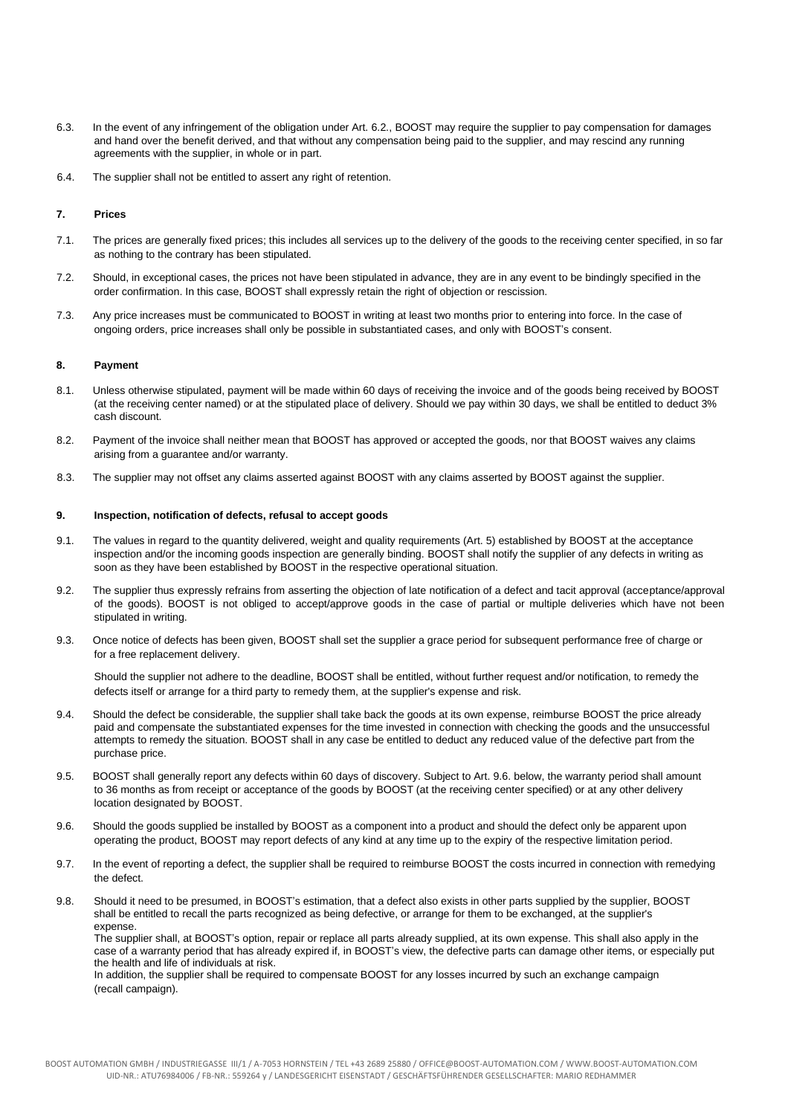- 6.3. In the event of any infringement of the obligation under Art. 6.2., BOOST may require the supplier to pay compensation for damages and hand over the benefit derived, and that without any compensation being paid to the supplier, and may rescind any running agreements with the supplier, in whole or in part.
- 6.4. The supplier shall not be entitled to assert any right of retention.

# **7. Prices**

- 7.1. The prices are generally fixed prices; this includes all services up to the delivery of the goods to the receiving center specified, in so far as nothing to the contrary has been stipulated.
- 7.2. Should, in exceptional cases, the prices not have been stipulated in advance, they are in any event to be bindingly specified in the order confirmation. In this case, BOOST shall expressly retain the right of objection or rescission.
- 7.3. Any price increases must be communicated to BOOST in writing at least two months prior to entering into force. In the case of ongoing orders, price increases shall only be possible in substantiated cases, and only with BOOST's consent.

#### **8. Payment**

- 8.1. Unless otherwise stipulated, payment will be made within 60 days of receiving the invoice and of the goods being received by BOOST (at the receiving center named) or at the stipulated place of delivery. Should we pay within 30 days, we shall be entitled to deduct 3% cash discount.
- 8.2. Payment of the invoice shall neither mean that BOOST has approved or accepted the goods, nor that BOOST waives any claims arising from a guarantee and/or warranty.
- 8.3. The supplier may not offset any claims asserted against BOOST with any claims asserted by BOOST against the supplier.

### **9. Inspection, notification of defects, refusal to accept goods**

- 9.1. The values in regard to the quantity delivered, weight and quality requirements (Art. 5) established by BOOST at the acceptance inspection and/or the incoming goods inspection are generally binding. BOOST shall notify the supplier of any defects in writing as soon as they have been established by BOOST in the respective operational situation.
- 9.2. The supplier thus expressly refrains from asserting the objection of late notification of a defect and tacit approval (acceptance/approval of the goods). BOOST is not obliged to accept/approve goods in the case of partial or multiple deliveries which have not been stipulated in writing.
- 9.3. Once notice of defects has been given, BOOST shall set the supplier a grace period for subsequent performance free of charge or for a free replacement delivery.

Should the supplier not adhere to the deadline, BOOST shall be entitled, without further request and/or notification, to remedy the defects itself or arrange for a third party to remedy them, at the supplier's expense and risk.

- 9.4. Should the defect be considerable, the supplier shall take back the goods at its own expense, reimburse BOOST the price already paid and compensate the substantiated expenses for the time invested in connection with checking the goods and the unsuccessful attempts to remedy the situation. BOOST shall in any case be entitled to deduct any reduced value of the defective part from the purchase price.
- 9.5. BOOST shall generally report any defects within 60 days of discovery. Subject to Art. 9.6. below, the warranty period shall amount to 36 months as from receipt or acceptance of the goods by BOOST (at the receiving center specified) or at any other delivery location designated by BOOST.
- 9.6. Should the goods supplied be installed by BOOST as a component into a product and should the defect only be apparent upon operating the product, BOOST may report defects of any kind at any time up to the expiry of the respective limitation period.
- 9.7. In the event of reporting a defect, the supplier shall be required to reimburse BOOST the costs incurred in connection with remedying the defect.
- 9.8. Should it need to be presumed, in BOOST's estimation, that a defect also exists in other parts supplied by the supplier, BOOST shall be entitled to recall the parts recognized as being defective, or arrange for them to be exchanged, at the supplier's expense.

The supplier shall, at BOOST's option, repair or replace all parts already supplied, at its own expense. This shall also apply in the case of a warranty period that has already expired if, in BOOST's view, the defective parts can damage other items, or especially put the health and life of individuals at risk.

In addition, the supplier shall be required to compensate BOOST for any losses incurred by such an exchange campaign (recall campaign).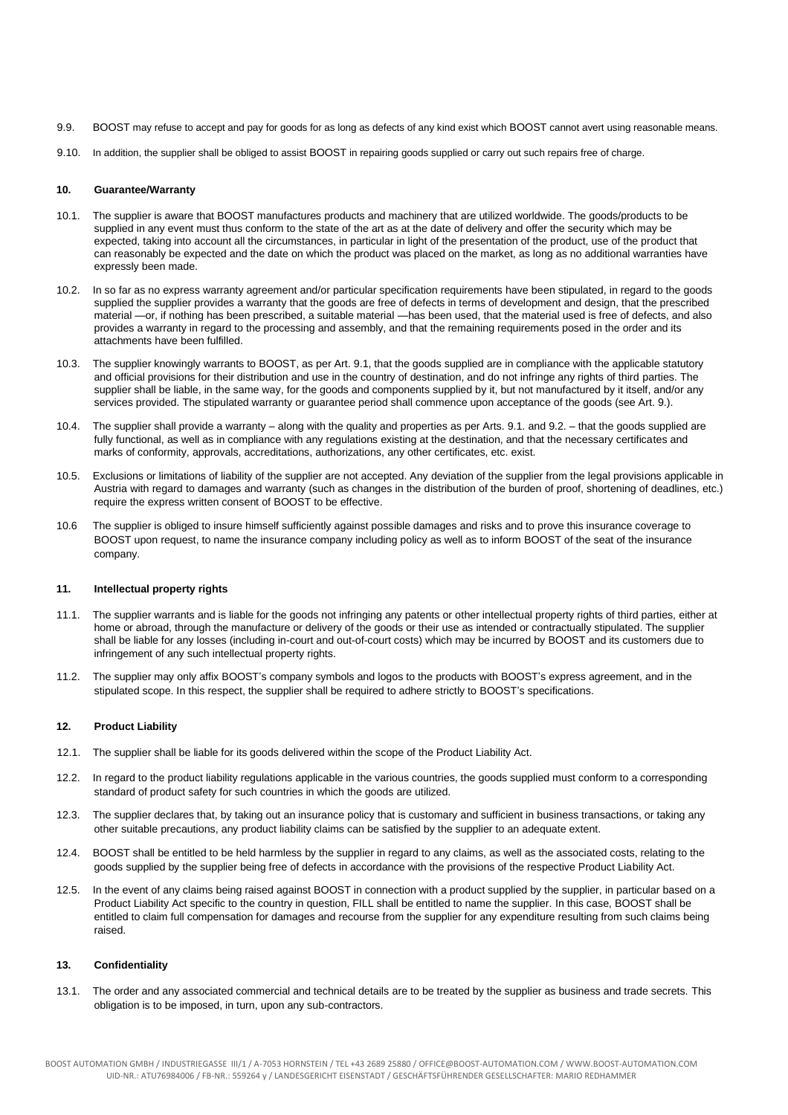- 9.9. BOOST may refuse to accept and pay for goods for as long as defects of any kind exist which BOOST cannot avert using reasonable means.
- 9.10. In addition, the supplier shall be obliged to assist BOOST in repairing goods supplied or carry out such repairs free of charge.

### **10. Guarantee/Warranty**

- 10.1. The supplier is aware that BOOST manufactures products and machinery that are utilized worldwide. The goods/products to be supplied in any event must thus conform to the state of the art as at the date of delivery and offer the security which may be expected, taking into account all the circumstances, in particular in light of the presentation of the product, use of the product that can reasonably be expected and the date on which the product was placed on the market, as long as no additional warranties have expressly been made.
- 10.2. In so far as no express warranty agreement and/or particular specification requirements have been stipulated, in regard to the goods supplied the supplier provides a warranty that the goods are free of defects in terms of development and design, that the prescribed material —or, if nothing has been prescribed, a suitable material —has been used, that the material used is free of defects, and also provides a warranty in regard to the processing and assembly, and that the remaining requirements posed in the order and its attachments have been fulfilled.
- 10.3. The supplier knowingly warrants to BOOST, as per Art. 9.1, that the goods supplied are in compliance with the applicable statutory and official provisions for their distribution and use in the country of destination, and do not infringe any rights of third parties. The supplier shall be liable, in the same way, for the goods and components supplied by it, but not manufactured by it itself, and/or any services provided. The stipulated warranty or guarantee period shall commence upon acceptance of the goods (see Art. 9.).
- 10.4. The supplier shall provide a warranty along with the quality and properties as per Arts. 9.1. and 9.2. that the goods supplied are fully functional, as well as in compliance with any regulations existing at the destination, and that the necessary certificates and marks of conformity, approvals, accreditations, authorizations, any other certificates, etc. exist.
- 10.5. Exclusions or limitations of liability of the supplier are not accepted. Any deviation of the supplier from the legal provisions applicable in Austria with regard to damages and warranty (such as changes in the distribution of the burden of proof, shortening of deadlines, etc.) require the express written consent of BOOST to be effective.
- 10.6 The supplier is obliged to insure himself sufficiently against possible damages and risks and to prove this insurance coverage to BOOST upon request, to name the insurance company including policy as well as to inform BOOST of the seat of the insurance company.

### **11. Intellectual property rights**

- 11.1. The supplier warrants and is liable for the goods not infringing any patents or other intellectual property rights of third parties, either at home or abroad, through the manufacture or delivery of the goods or their use as intended or contractually stipulated. The supplier shall be liable for any losses (including in-court and out-of-court costs) which may be incurred by BOOST and its customers due to infringement of any such intellectual property rights.
- 11.2. The supplier may only affix BOOST's company symbols and logos to the products with BOOST's express agreement, and in the stipulated scope. In this respect, the supplier shall be required to adhere strictly to BOOST's specifications.

#### **12. Product Liability**

- 12.1. The supplier shall be liable for its goods delivered within the scope of the Product Liability Act.
- 12.2. In regard to the product liability regulations applicable in the various countries, the goods supplied must conform to a corresponding standard of product safety for such countries in which the goods are utilized.
- 12.3. The supplier declares that, by taking out an insurance policy that is customary and sufficient in business transactions, or taking any other suitable precautions, any product liability claims can be satisfied by the supplier to an adequate extent.
- 12.4. BOOST shall be entitled to be held harmless by the supplier in regard to any claims, as well as the associated costs, relating to the goods supplied by the supplier being free of defects in accordance with the provisions of the respective Product Liability Act.
- 12.5. In the event of any claims being raised against BOOST in connection with a product supplied by the supplier, in particular based on a Product Liability Act specific to the country in question, FILL shall be entitled to name the supplier. In this case, BOOST shall be entitled to claim full compensation for damages and recourse from the supplier for any expenditure resulting from such claims being raised.

### **13. Confidentiality**

13.1. The order and any associated commercial and technical details are to be treated by the supplier as business and trade secrets. This obligation is to be imposed, in turn, upon any sub-contractors.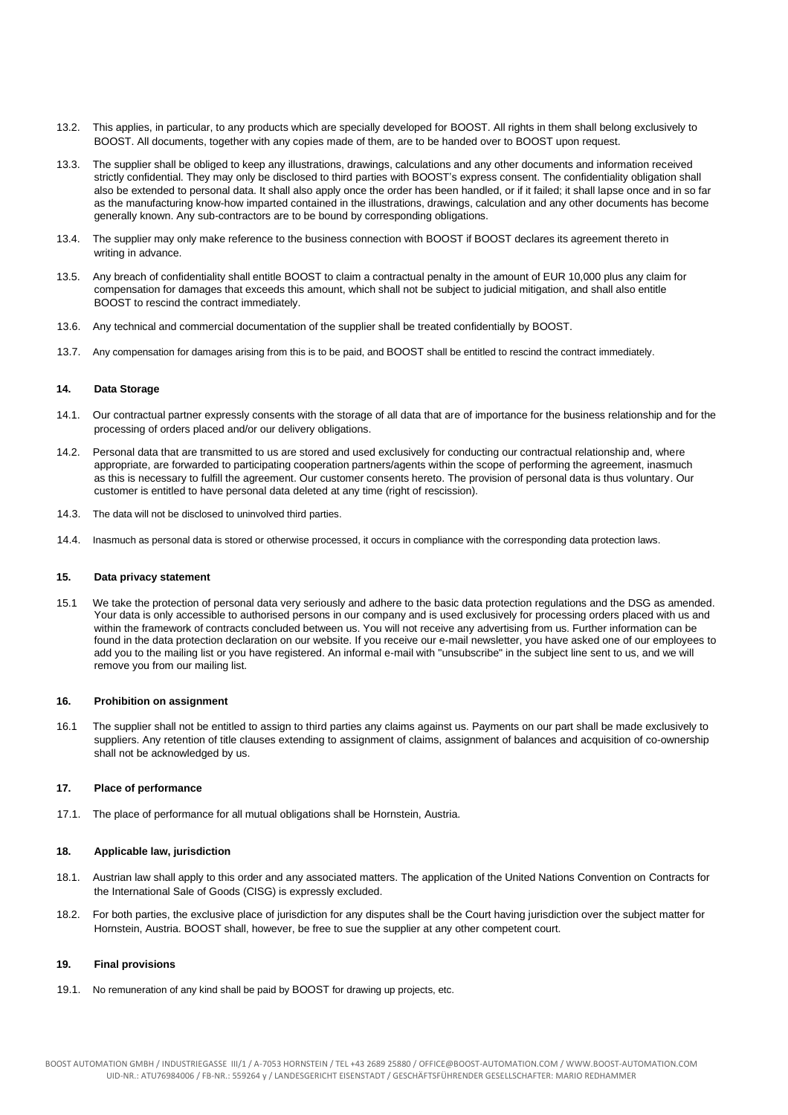- 13.2. This applies, in particular, to any products which are specially developed for BOOST. All rights in them shall belong exclusively to BOOST. All documents, together with any copies made of them, are to be handed over to BOOST upon request.
- 13.3. The supplier shall be obliged to keep any illustrations, drawings, calculations and any other documents and information received strictly confidential. They may only be disclosed to third parties with BOOST's express consent. The confidentiality obligation shall also be extended to personal data. It shall also apply once the order has been handled, or if it failed; it shall lapse once and in so far as the manufacturing know-how imparted contained in the illustrations, drawings, calculation and any other documents has become generally known. Any sub-contractors are to be bound by corresponding obligations.
- 13.4. The supplier may only make reference to the business connection with BOOST if BOOST declares its agreement thereto in writing in advance.
- 13.5. Any breach of confidentiality shall entitle BOOST to claim a contractual penalty in the amount of EUR 10,000 plus any claim for compensation for damages that exceeds this amount, which shall not be subject to judicial mitigation, and shall also entitle BOOST to rescind the contract immediately.
- 13.6. Any technical and commercial documentation of the supplier shall be treated confidentially by BOOST.
- 13.7. Any compensation for damages arising from this is to be paid, and BOOST shall be entitled to rescind the contract immediately.

### **14. Data Storage**

- 14.1. Our contractual partner expressly consents with the storage of all data that are of importance for the business relationship and for the processing of orders placed and/or our delivery obligations.
- 14.2. Personal data that are transmitted to us are stored and used exclusively for conducting our contractual relationship and, where appropriate, are forwarded to participating cooperation partners/agents within the scope of performing the agreement, inasmuch as this is necessary to fulfill the agreement. Our customer consents hereto. The provision of personal data is thus voluntary. Our customer is entitled to have personal data deleted at any time (right of rescission).
- 14.3. The data will not be disclosed to uninvolved third parties.
- 14.4. Inasmuch as personal data is stored or otherwise processed, it occurs in compliance with the corresponding data protection laws.

### **15. Data privacy statement**

15.1 We take the protection of personal data very seriously and adhere to the basic data protection regulations and the DSG as amended. Your data is only accessible to authorised persons in our company and is used exclusively for processing orders placed with us and within the framework of contracts concluded between us. You will not receive any advertising from us. Further information can be found in the data protection declaration on our website. If you receive our e-mail newsletter, you have asked one of our employees to add you to the mailing list or you have registered. An informal e-mail with "unsubscribe" in the subject line sent to us, and we will remove you from our mailing list.

#### **16. Prohibition on assignment**

16.1 The supplier shall not be entitled to assign to third parties any claims against us. Payments on our part shall be made exclusively to suppliers. Any retention of title clauses extending to assignment of claims, assignment of balances and acquisition of co-ownership shall not be acknowledged by us.

## **17. Place of performance**

17.1. The place of performance for all mutual obligations shall be Hornstein, Austria.

# **18. Applicable law, jurisdiction**

- 18.1. Austrian law shall apply to this order and any associated matters. The application of the United Nations Convention on Contracts for the International Sale of Goods (CISG) is expressly excluded.
- 18.2. For both parties, the exclusive place of jurisdiction for any disputes shall be the Court having jurisdiction over the subject matter for Hornstein, Austria. BOOST shall, however, be free to sue the supplier at any other competent court.

## **19. Final provisions**

19.1. No remuneration of any kind shall be paid by BOOST for drawing up projects, etc.